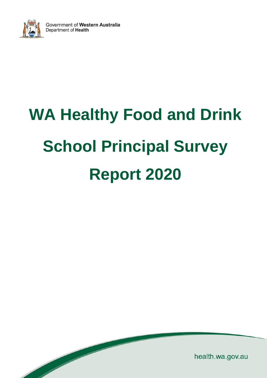

 $\overline{\phantom{a}}$ 

# **WA Healthy Food and Drink School Principal Survey Report 2020**

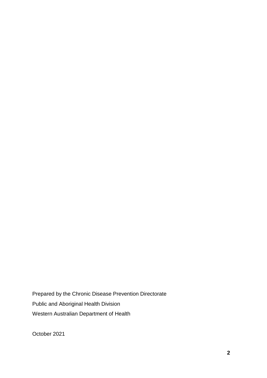Prepared by the Chronic Disease Prevention Directorate Public and Aboriginal Health Division Western Australian Department of Health

October 2021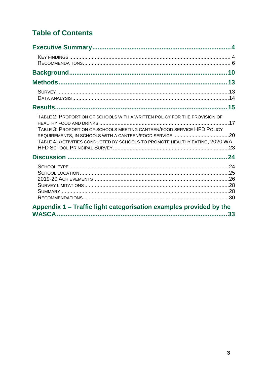# **Table of Contents**

| TABLE 2: PROPORTION OF SCHOOLS WITH A WRITTEN POLICY FOR THE PROVISION OF<br>TABLE 3: PROPORTION OF SCHOOLS MEETING CANTEEN/FOOD SERVICE HFD POLICY<br>TABLE 4: ACTIVITIES CONDUCTED BY SCHOOLS TO PROMOTE HEALTHY EATING, 2020 WA |  |
|------------------------------------------------------------------------------------------------------------------------------------------------------------------------------------------------------------------------------------|--|
|                                                                                                                                                                                                                                    |  |
|                                                                                                                                                                                                                                    |  |
| Appendix 1 – Traffic light categorisation examples provided by the                                                                                                                                                                 |  |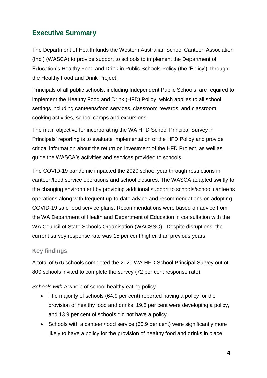# **Executive Summary**

The Department of Health funds the Western Australian School Canteen Association (Inc.) (WASCA) to provide support to schools to implement the Department of Education's Healthy Food and Drink in Public Schools Policy (the 'Policy'), through the Healthy Food and Drink Project.

Principals of all public schools, including Independent Public Schools, are required to implement the Healthy Food and Drink (HFD) [Policy,](http://det.wa.edu.au/policies/detcms/policy-planning-and-accountability/policies-framework/policies/healthy-food-and-drink-policy.en?cat-id=3457102) which applies to all school settings including canteens/food services, classroom rewards, and classroom cooking activities, school camps and excursions.

The main objective for incorporating the WA HFD School Principal Survey in Principals' reporting is to evaluate implementation of the HFD Policy and provide critical information about the return on investment of the HFD Project, as well as guide the WASCA's activities and services provided to schools.

The COVID-19 pandemic impacted the 2020 school year through restrictions in canteen/food service operations and school closures. The WASCA adapted swiftly to the changing environment by providing additional support to schools/school canteens operations along with frequent up-to-date advice and recommendations on adopting COVID-19 safe food service plans. Recommendations were based on advice from the WA Department of Health and Department of Education in consultation with the WA Council of State Schools Organisation (WACSSO). Despite disruptions, the current survey response rate was 15 per cent higher than previous years.

## **Key findings**

A total of 576 schools completed the 2020 WA HFD School Principal Survey out of 800 schools invited to complete the survey (72 per cent response rate).

*Schools with a* whole of school healthy eating policy

- The majority of schools (64.9 per cent) reported having a policy for the provision of healthy food and drinks, 19.8 per cent were developing a policy, and 13.9 per cent of schools did not have a policy.
- Schools with a canteen/food service (60.9 per cent) were significantly more likely to have a policy for the provision of healthy food and drinks in place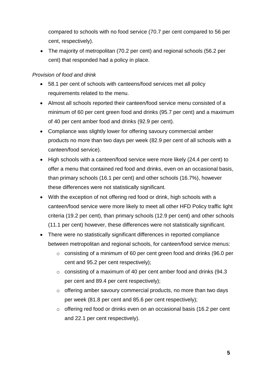compared to schools with no food service (70.7 per cent compared to 56 per cent, respectively).

• The majority of metropolitan (70.2 per cent) and regional schools (56.2 per cent) that responded had a policy in place.

#### *Provision of food and drink*

- 58.1 per cent of schools with canteens/food services met all policy requirements related to the menu.
- Almost all schools reported their canteen/food service menu consisted of a minimum of 60 per cent green food and drinks (95.7 per cent) and a maximum of 40 per cent amber food and drinks (92.9 per cent).
- Compliance was slightly lower for offering savoury commercial amber products no more than two days per week (82.9 per cent of all schools with a canteen/food service).
- High schools with a canteen/food service were more likely (24.4 per cent) to offer a menu that contained red food and drinks, even on an occasional basis, than primary schools (16.1 per cent) and other schools (16.7%), however these differences were not statistically significant.
- With the exception of not offering red food or drink, high schools with a canteen/food service were more likely to meet all other HFD Policy traffic light criteria (19.2 per cent), than primary schools (12.9 per cent) and other schools (11.1 per cent) however, these differences were not statistically significant.
- There were no statistically significant differences in reported compliance between metropolitan and regional schools, for canteen/food service menus:
	- o consisting of a minimum of 60 per cent green food and drinks (96.0 per cent and 95.2 per cent respectively);
	- o consisting of a maximum of 40 per cent amber food and drinks (94.3 per cent and 89.4 per cent respectively);
	- o offering amber savoury commercial products, no more than two days per week (81.8 per cent and 85.6 per cent respectively);
	- o offering red food or drinks even on an occasional basis (16.2 per cent and 22.1 per cent respectively).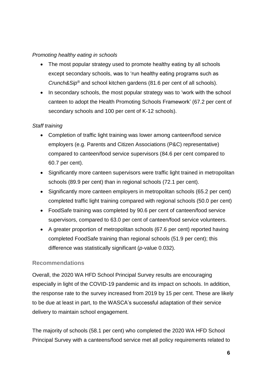#### *Promoting healthy eating in schools*

- The most popular strategy used to promote healthy eating by all schools except secondary schools, was to 'run healthy eating programs such as *Crunch&Sip®* and school kitchen gardens (81.6 per cent of all schools).
- In secondary schools, the most popular strategy was to 'work with the school canteen to adopt the Health Promoting Schools Framework' (67.2 per cent of secondary schools and 100 per cent of K-12 schools).

#### *Staff training*

- Completion of traffic light training was lower among canteen/food service employers (e.g. Parents and Citizen Associations (P&C) representative) compared to canteen/food service supervisors (84.6 per cent compared to 60.7 per cent).
- Significantly more canteen supervisors were traffic light trained in metropolitan schools (89.9 per cent) than in regional schools (72.1 per cent).
- Significantly more canteen employers in metropolitan schools (65.2 per cent) completed traffic light training compared with regional schools (50.0 per cent)
- FoodSafe training was completed by 90.6 per cent of canteen/food service supervisors, compared to 63.0 per cent of canteen/food service volunteers.
- A greater proportion of metropolitan schools (67.6 per cent) reported having completed FoodSafe training than regional schools (51.9 per cent); this difference was statistically significant (*p-*value 0.032).

#### **Recommendations**

Overall, the 2020 WA HFD School Principal Survey results are encouraging especially in light of the COVID-19 pandemic and its impact on schools. In addition, the response rate to the survey increased from 2019 by 15 per cent. These are likely to be due at least in part, to the WASCA's successful adaptation of their service delivery to maintain school engagement.

The majority of schools (58.1 per cent) who completed the 2020 WA HFD School Principal Survey with a canteens/food service met all policy requirements related to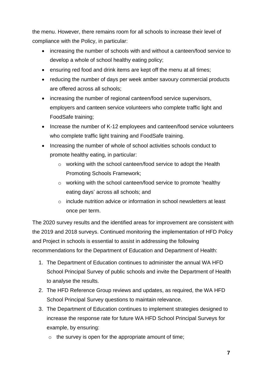the menu. However, there remains room for all schools to increase their level of compliance with the Policy, in particular:

- increasing the number of schools with and without a canteen/food service to develop a whole of school healthy eating policy;
- ensuring red food and drink items are kept off the menu at all times;
- reducing the number of days per week amber savoury commercial products are offered across all schools;
- increasing the number of regional canteen/food service supervisors, employers and canteen service volunteers who complete traffic light and FoodSafe training;
- Increase the number of K-12 employees and canteen/food service volunteers who complete traffic light training and FoodSafe training.
- Increasing the number of whole of school activities schools conduct to promote healthy eating, in particular:
	- o working with the school canteen/food service to adopt the Health Promoting Schools Framework;
	- o working with the school canteen/food service to promote 'healthy eating days' across all schools; and
	- $\circ$  include nutrition advice or information in school newsletters at least once per term.

The 2020 survey results and the identified areas for improvement are consistent with the 2019 and 2018 surveys. Continued monitoring the implementation of HFD Policy and Project in schools is essential to assist in addressing the following recommendations for the Department of Education and Department of Health:

- 1. The Department of Education continues to administer the annual WA HFD School Principal Survey of public schools and invite the Department of Health to analyse the results.
- 2. The HFD Reference Group reviews and updates, as required, the WA HFD School Principal Survey questions to maintain relevance.
- 3. The Department of Education continues to implement strategies designed to increase the response rate for future WA HFD School Principal Surveys for example, by ensuring:
	- $\circ$  the survey is open for the appropriate amount of time: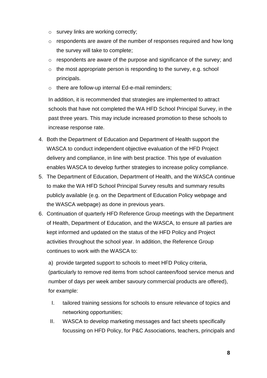- o survey links are working correctly;
- $\circ$  respondents are aware of the number of responses required and how long the survey will take to complete;
- o respondents are aware of the purpose and significance of the survey; and
- $\circ$  the most appropriate person is responding to the survey, e.g. school principals.
- o there are follow-up internal Ed-e-mail reminders;

In addition, it is recommended that strategies are implemented to attract schools that have not completed the WA HFD School Principal Survey, in the past three years. This may include increased promotion to these schools to increase response rate.

- 4. Both the Department of Education and Department of Health support the WASCA to conduct independent objective evaluation of the HFD Project delivery and compliance, in line with best practice. This type of evaluation enables WASCA to develop further strategies to increase policy compliance.
- 5. The Department of Education, Department of Health, and the WASCA continue to make the WA HFD School Principal Survey results and summary results publicly available (e.g. on the Department of Education Policy webpage and the WASCA webpage) as done in previous years.
- 6. Continuation of quarterly HFD Reference Group meetings with the Department of Health, Department of Education, and the WASCA, to ensure all parties are kept informed and updated on the status of the HFD Policy and Project activities throughout the school year. In addition, the Reference Group continues to work with the WASCA to:

a) provide targeted support to schools to meet HFD Policy criteria, (particularly to remove red items from school canteen/food service menus and number of days per week amber savoury commercial products are offered), for example:

- I. tailored training sessions for schools to ensure relevance of topics and networking opportunities;
- II. WASCA to develop marketing messages and fact sheets specifically focussing on HFD Policy, for P&C Associations, teachers, principals and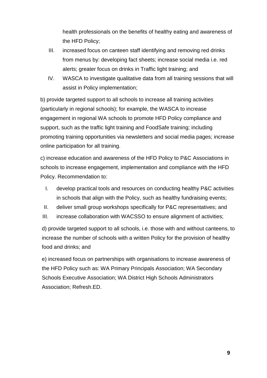health professionals on the benefits of healthy eating and awareness of the HFD Policy;

- III. increased focus on canteen staff identifying and removing red drinks from menus by: developing fact sheets; increase social media i.e. red alerts; greater focus on drinks in Traffic light training; and
- IV. WASCA to investigate qualitative data from all training sessions that will assist in Policy implementation;

b) provide targeted support to all schools to increase all training activities (particularly in regional schools); for example, the WASCA to increase engagement in regional WA schools to promote HFD Policy compliance and support, such as the traffic light training and FoodSafe training; including promoting training opportunities via newsletters and social media pages; increase online participation for all training.

c) increase education and awareness of the HFD Policy to P&C Associations in schools to increase engagement, implementation and compliance with the HFD Policy. Recommendation to:

- I. develop practical tools and resources on conducting healthy P&C activities in schools that align with the Policy, such as healthy fundraising events;
- II. deliver small group workshops specifically for P&C representatives; and
- III. increase collaboration with WACSSO to ensure alignment of activities;

d) provide targeted support to all schools, i.e. those with and without canteens, to increase the number of schools with a written Policy for the provision of healthy food and drinks; and

e) increased focus on partnerships with organisations to increase awareness of the HFD Policy such as: WA Primary Principals Association; WA Secondary Schools Executive Association; WA District High Schools Administrators Association; Refresh.ED.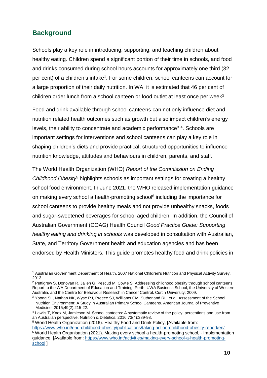# **Background**

1

Schools play a key role in introducing, supporting, and teaching children about healthy eating. Children spend a significant portion of their time in schools, and food and drinks consumed during school hours accounts for approximately one third (32 per cent) of a children's intake<sup>1</sup>. For some children, school canteens can account for a large proportion of their daily nutrition. In WA, it is estimated that 46 per cent of children order lunch from a school canteen or food outlet at least once per week<sup>2</sup>.

Food and drink available through school canteens can not only influence diet and nutrition related health outcomes such as growth but also impact children's energy levels, their ability to concentrate and academic performance<sup>34</sup>. Schools are important settings for interventions and school canteens can play a key role in shaping children's diets and provide practical, structured opportunities to influence nutrition knowledge, attitudes and behaviours in children, parents, and staff.

The World Health Organization (WHO) *Report of the Commission on Ending Childhood Obesity*<sup>5</sup> highlights schools as important settings for creating a healthy school food environment. In June 2021, the WHO released implementation guidance on making every school a health-promoting school<sup>6</sup> including the importance for school canteens to provide healthy meals and not provide unhealthy snacks, foods and sugar-sweetened beverages for school aged children. In addition, the Council of Australian Government (COAG) Health Council *Good Practice Guide: Supporting healthy eating and drinking in schools* was developed in consultation with Australian, State, and Territory Government health and education agencies and has been endorsed by Health Ministers. This guide promotes healthy food and drink policies in

<sup>5</sup> World Health Organization (2016). Healthy Food and Drink Policy, [Available from: <https://www.who.int/end-childhood-obesity/publications/taking-action-childhood-obesity-report/en/> <sup>6</sup> World Health Organisation (2021). Making every school a health-promoting school, - Implementation guidance, [Available from: [https://www.who.int/activities/making-every-school-a-health-promoting](https://www.who.int/activities/making-every-school-a-health-promoting-school)[school](https://www.who.int/activities/making-every-school-a-health-promoting-school) ]

<sup>1</sup> Australian Government Department of Health. 2007 National Children's Nutrition and Physical Activity Survey. 2013.

<sup>&</sup>lt;sup>2</sup> Pettigrew S. Donovan R. Jalleh G, Pescud M, Cowie S. Addressing childhood obesity through school canteens. Report to the WA Department of Education and Training. Perth: UWA Business School, the University of Western Australia, and the Centre for Behaviour Research in Cancer Control, Curtin University; 2009.

<sup>&</sup>lt;sup>3</sup> Yoong SL, Nathan NK, Wyse RJ, Preece SJ, Williams CM, Sutherland RL, et al. Assessment of the School Nutrition Environment: A Study in Australian Primary School Canteens. American Journal of Preventive Medicine. 2015;49(2):215-22.

<sup>4</sup> Lawlis T, Knox M, Jamieson M. School canteens: A systematic review of the policy, perceptions and use from an Australian perspective. Nutrition & Dietetics. 2016;73(4):389-98.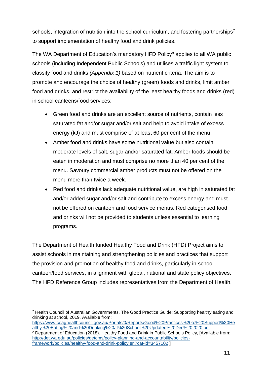schools, integration of nutrition into the school curriculum, and fostering partnerships<sup>7</sup> to support implementation of healthy food and drink policies.

The WA Department of Education's mandatory HFD Policy<sup>8</sup> applies to all WA public schools (including Independent Public Schools) and utilises a traffic light system to classify food and drinks *(Appendix 1)* based on nutrient criteria. The aim is to promote and encourage the choice of healthy (green) foods and drinks, limit amber food and drinks, and restrict the availability of the least healthy foods and drinks (red) in school canteens/food services:

- Green food and drinks are an excellent source of nutrients, contain less saturated fat and/or sugar and/or salt and help to avoid intake of excess energy (kJ) and must comprise of at least 60 per cent of the menu.
- Amber food and drinks have some nutritional value but also contain moderate levels of salt, sugar and/or saturated fat. Amber foods should be eaten in moderation and must comprise no more than 40 per cent of the menu. Savoury commercial amber products must not be offered on the menu more than twice a week.
- Red food and drinks lack adequate nutritional value, are high in saturated fat and/or added sugar and/or salt and contribute to excess energy and must not be offered on canteen and food service menus. Red categorised food and drinks will not be provided to students unless essential to learning programs.

The Department of Health funded Healthy Food and Drink (HFD) Project aims to assist schools in maintaining and strengthening policies and practices that support the provision and promotion of healthy food and drinks, particularly in school canteen/food services, in alignment with global, national and state policy objectives. The HFD Reference Group includes representatives from the Department of Health,

<sup>1</sup> <sup>7</sup> Health Council of Australian Governments. The Good Practice Guide: Supporting healthy eating and drinking at school, 2019. Available from:

[https://www.coaghealthcouncil.gov.au/Portals/0/Reports/Good%20Practices%20to%20Support%20He](https://www.coaghealthcouncil.gov.au/Portals/0/Reports/Good%20Practices%20to%20Support%20Healthy%20Eating%20and%20Drinking%20at%20School%20Updated%20Dec%202020.pdf) [althy%20Eating%20and%20Drinking%20at%20School%20Updated%20Dec%202020.pdf](https://www.coaghealthcouncil.gov.au/Portals/0/Reports/Good%20Practices%20to%20Support%20Healthy%20Eating%20and%20Drinking%20at%20School%20Updated%20Dec%202020.pdf)

<sup>2</sup> Department of Education (2018). Healthy Food and Drink in Public Schools Policy, [Available from: [http://det.wa.edu.au/policies/detcms/policy-planning-and-accountability/policies](http://det.wa.edu.au/policies/detcms/policy-planning-and-accountability/policies-framework/policies/healthy-food-and-drink-policy.en?cat-id=3457102)[framework/policies/healthy-food-and-drink-policy.en?cat-id=3457102](http://det.wa.edu.au/policies/detcms/policy-planning-and-accountability/policies-framework/policies/healthy-food-and-drink-policy.en?cat-id=3457102) ]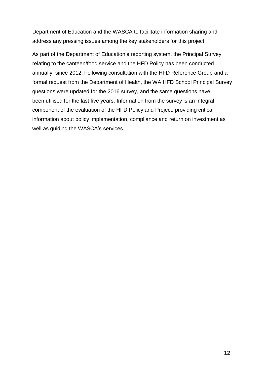Department of Education and the WASCA to facilitate information sharing and address any pressing issues among the key stakeholders for this project.

As part of the Department of Education's reporting system, the Principal Survey relating to the canteen/food service and the HFD Policy has been conducted annually, since 2012. Following consultation with the HFD Reference Group and a formal request from the Department of Health, the WA HFD School Principal Survey questions were updated for the 2016 survey, and the same questions have been utilised for the last five years. Information from the survey is an integral component of the evaluation of the HFD Policy and Project, providing critical information about policy implementation, compliance and return on investment as well as guiding the WASCA's services.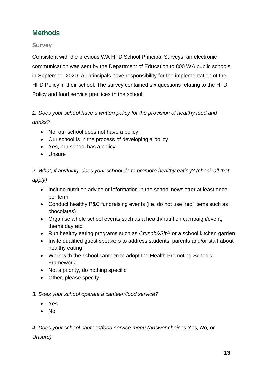# **Methods**

## **Survey**

Consistent with the previous WA HFD School Principal Surveys, an electronic communication was sent by the Department of Education to 800 WA public schools in September 2020. All principals have responsibility for the implementation of the HFD Policy in their school. The survey contained six questions relating to the HFD Policy and food service practices in the school:

## *1. Does your school have a written policy for the provision of healthy food and drinks?*

- No, our school does not have a policy
- Our school is in the process of developing a policy
- Yes, our school has a policy
- Unsure

*2. What, if anything, does your school do to promote healthy eating? (check all that apply)*

- Include nutrition advice or information in the school newsletter at least once per term
- Conduct healthy P&C fundraising events (i.e. do not use 'red' items such as chocolates)
- Organise whole school events such as a health/nutrition campaign/event, theme day etc.
- Run healthy eating programs such as *Crunch&Sip®* or a school kitchen garden
- Invite qualified guest speakers to address students, parents and/or staff about healthy eating
- Work with the school canteen to adopt the Health Promoting Schools Framework
- Not a priority, do nothing specific
- Other, please specify

#### *3. Does your school operate a canteen/food service?*

- Yes
- No

*4. Does your school canteen/food service menu (answer choices Yes, No, or Unsure):*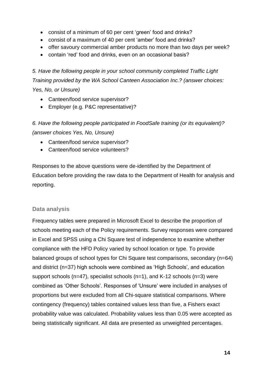- consist of a minimum of 60 per cent 'green' food and drinks?
- consist of a maximum of 40 per cent 'amber' food and drinks?
- offer savoury commercial amber products no more than two days per week?
- contain 'red' food and drinks, even on an occasional basis?

*5. Have the following people in your school community completed Traffic Light Training provided by the WA School Canteen Association Inc.? (answer choices: Yes, No, or Unsure)*

- Canteen/food service supervisor?
- Employer (e.g. P&C representative)?

*6. Have the following people participated in FoodSafe training (or its equivalent)? (answer choices Yes, No, Unsure)*

- Canteen/food service supervisor?
- Canteen/food service volunteers?

Responses to the above questions were de-identified by the Department of Education before providing the raw data to the Department of Health for analysis and reporting.

#### **Data analysis**

Frequency tables were prepared in Microsoft Excel to describe the proportion of schools meeting each of the Policy requirements. Survey responses were compared in Excel and SPSS using a Chi Square test of independence to examine whether compliance with the HFD Policy varied by school location or type. To provide balanced groups of school types for Chi Square test comparisons, secondary (n=64) and district (n=37) high schools were combined as 'High Schools', and education support schools (n=47), specialist schools (n=1), and K-12 schools (n=3) were combined as 'Other Schools'. Responses of 'Unsure' were included in analyses of proportions but were excluded from all Chi-square statistical comparisons. Where contingency (frequency) tables contained values less than five, a Fishers exact probability value was calculated. Probability values less than 0.05 were accepted as being statistically significant. All data are presented as unweighted percentages.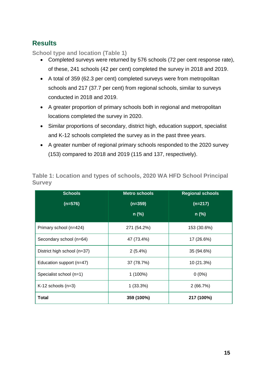# **Results**

**School type and location (Table 1)**

- Completed surveys were returned by 576 schools (72 per cent response rate), of these, 241 schools (42 per cent) completed the survey in 2018 and 2019.
- A total of 359 (62.3 per cent) completed surveys were from metropolitan schools and 217 (37.7 per cent) from regional schools, similar to surveys conducted in 2018 and 2019.
- A greater proportion of primary schools both in regional and metropolitan locations completed the survey in 2020.
- Similar proportions of secondary, district high, education support, specialist and K-12 schools completed the survey as in the past three years.
- A greater number of regional primary schools responded to the 2020 survey (153) compared to 2018 and 2019 (115 and 137, respectively).

| <b>Schools</b>              | <b>Metro schools</b> | <b>Regional schools</b> |  |  |  |
|-----------------------------|----------------------|-------------------------|--|--|--|
| $(n=576)$                   | $(n=359)$            | $(n=217)$               |  |  |  |
|                             | $n$ (%)              | $n$ (%)                 |  |  |  |
| Primary school (n=424)      | 271 (54.2%)          | 153 (30.6%)             |  |  |  |
| Secondary school (n=64)     | 47 (73.4%)           | 17 (26.6%)              |  |  |  |
| District high school (n=37) | $2(5.4\%)$           | 35 (94.6%)              |  |  |  |
| Education support (n=47)    | 37 (78.7%)           | 10 (21.3%)              |  |  |  |
| Specialist school (n=1)     | $1(100\%)$           | $0(0\%)$                |  |  |  |
| $K-12$ schools (n=3)        | $1(33.3\%)$          | 2(66.7%)                |  |  |  |
| <b>Total</b>                | 359 (100%)           | 217 (100%)              |  |  |  |

**Table 1: Location and types of schools, 2020 WA HFD School Principal Survey**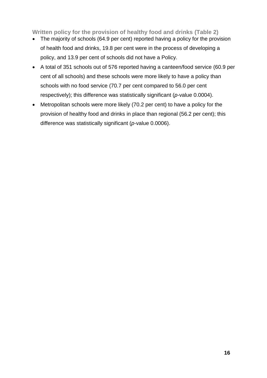#### **Written policy for the provision of healthy food and drinks (Table 2)**

- The majority of schools (64.9 per cent) reported having a policy for the provision of health food and drinks, 19.8 per cent were in the process of developing a policy, and 13.9 per cent of schools did not have a Policy.
- A total of 351 schools out of 576 reported having a canteen/food service (60.9 per cent of all schools) and these schools were more likely to have a policy than schools with no food service (70.7 per cent compared to 56.0 per cent respectively); this difference was statistically significant (*p-*value 0.0004).
- Metropolitan schools were more likely (70.2 per cent) to have a policy for the provision of healthy food and drinks in place than regional (56.2 per cent); this difference was statistically significant (*p*-value 0.0006).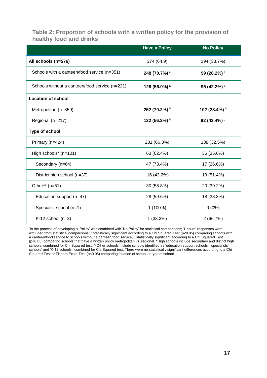#### **Table 2: Proportion of schools with a written policy for the provision of healthy food and drinks**

|                                                | <b>Have a Policy</b>     | <b>No Policy</b>        |
|------------------------------------------------|--------------------------|-------------------------|
| All schools (n=576)                            | 374 (64.9)               | 194 (33.7%)             |
| Schools with a canteen/food service (n=351)    | 248 (70.7%) <sup>a</sup> | 99 (28.2%) <sup>a</sup> |
| Schools without a canteen/food service (n=221) | 126 (56.0%) <sup>a</sup> | 95 (42.2%) <sup>a</sup> |
| <b>Location of school</b>                      |                          |                         |
| Metropolitan (n=359)                           | 252 (70.2%) b            | 102 (28.4%) b           |
| Regional (n=217)                               | 122 (56.2%) b            | 92 (42.4%) b            |
| Type of school                                 |                          |                         |
| Primary (n=424)                                | 281 (66.3%)              | 138 (32.5%)             |
| High schools* (n=101)                          | 63 (62.4%)               | 36 (35.6%)              |
| Secondary (n=64)                               | 47 (73.4%)               | 17 (26.6%)              |
| District high school (n=37)                    | 16 (43.2%)               | 19 (51.4%)              |
| Other** (n=51)                                 | 30 (58.8%)               | 20 (39.2%)              |
| Education support (n=47)                       | 28 (59.6%)               | 18 (38.3%)              |
| Specialist school (n=1)                        | 1 (100%)                 | $0(0\%)$                |
| $K-12$ school (n=3)                            | 1(33.3%)                 | 2(66.7%)                |

'In the process of developing a 'Policy' was combined with 'No Policy' for statistical comparisons; 'Unsure' responses were excluded from statistical comparisons; <sup>a</sup> statistically significant according to a Chi Squared Test (p<0.05) comparing schools with a canteen/food service to schools without a canteen/food service, **<sup>b</sup>** statistically significant according to a Chi Squared Test (p<0.05) comparing schools that have a written policy metropolitan vs. regional. \*High schools include secondary and district high schools, combined for Chi Squared test; \*\*Other schools include schools identified as 'education support schools', 'specialists' schools' and 'K-12 schools', combined for Chi Squared test. There were no statistically significant differences according to a Chi Squared Test or Fishers Exact Test (p<0.05) comparing location of school or type of school.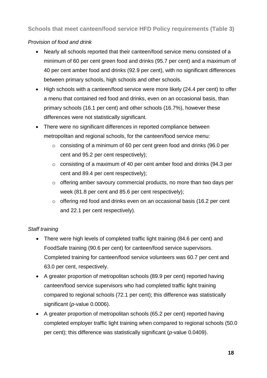**Schools that meet canteen/food service HFD Policy requirements (Table 3)**

#### *Provision of food and drink*

- Nearly all schools reported that their canteen/food service menu consisted of a minimum of 60 per cent green food and drinks (95.7 per cent) and a maximum of 40 per cent amber food and drinks (92.9 per cent), with no significant differences between primary schools, high schools and other schools.
- High schools with a canteen/food service were more likely (24.4 per cent) to offer a menu that contained red food and drinks, even on an occasional basis, than primary schools (16.1 per cent) and other schools (16.7%), however these differences were not statistically significant.
- There were no significant differences in reported compliance between metropolitan and regional schools, for the canteen/food service menu:
	- o consisting of a minimum of 60 per cent green food and drinks (96.0 per cent and 95.2 per cent respectively);
	- o consisting of a maximum of 40 per cent amber food and drinks (94.3 per cent and 89.4 per cent respectively);
	- o offering amber savoury commercial products, no more than two days per week (81.8 per cent and 85.6 per cent respectively);
	- o offering red food and drinks even on an occasional basis (16.2 per cent and 22.1 per cent respectively).

## *Staff training*

- There were high levels of completed traffic light training (84.6 per cent) and FoodSafe training (90.6 per cent) for canteen/food service supervisors. Completed training for canteen/food service volunteers was 60.7 per cent and 63.0 per cent, respectively.
- A greater proportion of metropolitan schools (89.9 per cent) reported having canteen/food service supervisors who had completed traffic light training compared to regional schools (72.1 per cent); this difference was statistically significant (*p*-value 0.0006).
- A greater proportion of metropolitan schools (65.2 per cent) reported having completed employer traffic light training when compared to regional schools (50.0 per cent); this difference was statistically significant (*p-*value 0.0409).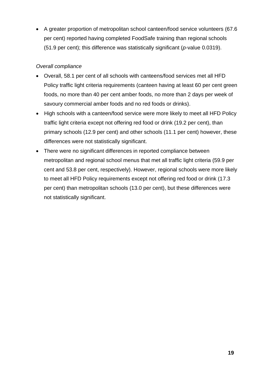• A greater proportion of metropolitan school canteen/food service volunteers (67.6 per cent) reported having completed FoodSafe training than regional schools (51.9 per cent); this difference was statistically significant (*p-*value 0.0319).

#### *Overall compliance*

- Overall, 58.1 per cent of all schools with canteens/food services met all HFD Policy traffic light criteria requirements (canteen having at least 60 per cent green foods, no more than 40 per cent amber foods, no more than 2 days per week of savoury commercial amber foods and no red foods or drinks).
- High schools with a canteen/food service were more likely to meet all HFD Policy traffic light criteria except not offering red food or drink (19.2 per cent), than primary schools (12.9 per cent) and other schools (11.1 per cent) however, these differences were not statistically significant.
- There were no significant differences in reported compliance between metropolitan and regional school menus that met all traffic light criteria (59.9 per cent and 53.8 per cent, respectively). However, regional schools were more likely to meet all HFD Policy requirements except not offering red food or drink (17.3 per cent) than metropolitan schools (13.0 per cent), but these differences were not statistically significant.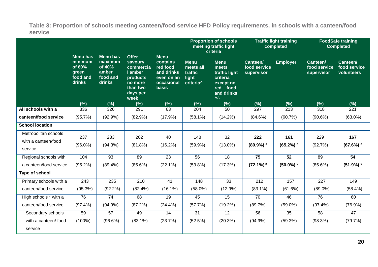**Table 3: Proportion of schools meeting canteen/food service HFD Policy requirements, in schools with a canteen/food service**

|                                                        |                                                                     |                                                                     |                                                                                                        |                                                                                               | <b>Proportion of schools</b><br>meeting traffic light<br>criteria     |                                                                                                                  | <b>Traffic light training</b><br>completed |                     | <b>FoodSafe training</b><br><b>Completed</b> |                                        |
|--------------------------------------------------------|---------------------------------------------------------------------|---------------------------------------------------------------------|--------------------------------------------------------------------------------------------------------|-----------------------------------------------------------------------------------------------|-----------------------------------------------------------------------|------------------------------------------------------------------------------------------------------------------|--------------------------------------------|---------------------|----------------------------------------------|----------------------------------------|
|                                                        | <b>Menu has</b><br>minimum<br>of 60%<br>green<br>food and<br>drinks | <b>Menu has</b><br>maximum<br>of 40%<br>amber<br>food and<br>drinks | <b>Offer</b><br>savoury<br>commercia<br>I amber<br>products<br>no more<br>than two<br>days per<br>week | <b>Menu</b><br>contains<br>red food<br>and drinks<br>even on an<br>occasional<br><b>basis</b> | <b>Menu</b><br>meets all<br>traffic<br>light<br>criteria <sup>^</sup> | <b>Menu</b><br>meets<br>traffic light<br>criteria<br>except no<br>food<br>red<br>and drinks<br>$\Lambda \Lambda$ | Canteen/<br>food service<br>supervisor     | <b>Employer</b>     | Canteen/<br>food service<br>supervisor       | Canteen/<br>food service<br>volunteers |
| All schools with a                                     | (%)<br>336                                                          | (%)<br>326                                                          | (%)<br>291                                                                                             | (%)<br>63                                                                                     | (%)<br>204                                                            | (%)<br>50                                                                                                        | (%)<br>297                                 | (%)<br>213          | (%)<br>318                                   | (%)<br>221                             |
| canteen/food service                                   | (95.7%)                                                             | $(92.9\%)$                                                          | (82.9%)                                                                                                | $(17.9\%)$                                                                                    | $(58.1\%)$                                                            | $(14.2\%)$                                                                                                       | (84.6%)                                    | (60.7%)             | (90.6%)                                      | $(63.0\%)$                             |
| <b>School location</b>                                 |                                                                     |                                                                     |                                                                                                        |                                                                                               |                                                                       |                                                                                                                  |                                            |                     |                                              |                                        |
| Metropolitan schools<br>with a canteen/food<br>service | 237<br>$(96.0\%)$                                                   | 233<br>(94.3%)                                                      | 202<br>$(81.8\%)$                                                                                      | 40<br>$(16.2\%)$                                                                              | 148<br>(59.9%)                                                        | 32<br>$(13.0\%)$                                                                                                 | 222<br>$(89.9\%)$ <sup>a</sup>             | 161<br>$(65.2\%)$ b | 229<br>(92.7%)                               | 167<br>(67.6%)                         |
| Regional schools with                                  | 104                                                                 | 93                                                                  | 89                                                                                                     | 23                                                                                            | 56                                                                    | 18                                                                                                               | $\overline{75}$                            | 52                  | 89                                           | 54                                     |
| a canteen/food service                                 | $(95.2\%)$                                                          | $(89.4\%)$                                                          | $(85.6\%)$                                                                                             | $(22.1\%)$                                                                                    | $(53.8\%)$                                                            | (17.3%)                                                                                                          | $(72.1\%)$ <sup>a</sup>                    | $(50.0\%)$ b        | $(85.6\%)$                                   | (51.9%)                                |
| Type of school                                         |                                                                     |                                                                     |                                                                                                        |                                                                                               |                                                                       |                                                                                                                  |                                            |                     |                                              |                                        |
| Primary schools with a<br>canteen/food service         | 243<br>(95.3%)                                                      | 235<br>$(92.2\%)$                                                   | 210<br>$(82.4\%)$                                                                                      | 41<br>$(16.1\%)$                                                                              | 148<br>$(58.0\%)$                                                     | 33<br>$(12.9\%)$                                                                                                 | 212<br>$(83.1\%)$                          | 157<br>(61.6%)      | 227<br>$(89.0\%)$                            | 149<br>(58.4%)                         |
| High schools * with a                                  | 76                                                                  | 74                                                                  | 68                                                                                                     | 19                                                                                            | 45                                                                    | 15                                                                                                               | 70                                         | 46                  | 76                                           | 60                                     |
| canteen/food service                                   | $(97.4\%)$                                                          | $(94.9\%)$                                                          | (87.2%)                                                                                                | $(24.4\%)$                                                                                    | (57.7%)                                                               | $(19.2\%)$                                                                                                       | (89.7%)                                    | $(59.0\%)$          | $(97.4\%)$                                   | (76.9%)                                |
| Secondary schools                                      | 59                                                                  | $\overline{57}$                                                     | 49                                                                                                     | 14                                                                                            | 31                                                                    | $\overline{12}$                                                                                                  | $\overline{56}$                            | $\overline{35}$     | 58                                           | $\overline{47}$                        |
| with a canteen/ food<br>service                        | $(100\%)$                                                           | $(96.6\%)$                                                          | $(83.1\%)$                                                                                             | (23.7%)                                                                                       | (52.5%)                                                               | (20.3%)                                                                                                          | $(94.9\%)$                                 | (59.3%)             | (98.3%)                                      | (79.7%)                                |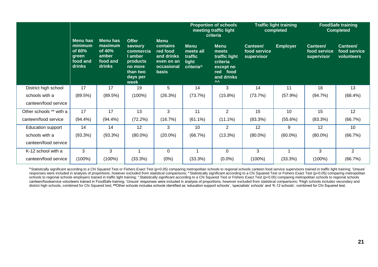|                          |                                                                     |                                                              |                                                                                                        |                                                                                               | <b>Proportion of schools</b><br>meeting traffic light<br>criteria     |                                                                                                                  | <b>Traffic light training</b><br>completed |                 | <b>FoodSafe training</b><br><b>Completed</b> |                                               |
|--------------------------|---------------------------------------------------------------------|--------------------------------------------------------------|--------------------------------------------------------------------------------------------------------|-----------------------------------------------------------------------------------------------|-----------------------------------------------------------------------|------------------------------------------------------------------------------------------------------------------|--------------------------------------------|-----------------|----------------------------------------------|-----------------------------------------------|
|                          | <b>Menu has</b><br>minimum<br>of 60%<br>green<br>food and<br>drinks | Menu has<br>maximum<br>of 40%<br>amber<br>food and<br>drinks | <b>Offer</b><br>savoury<br>commercia<br>I amber<br>products<br>no more<br>than two<br>days per<br>week | <b>Menu</b><br>contains<br>red food<br>and drinks<br>even on an<br>occasional<br><b>basis</b> | <b>Menu</b><br>meets all<br>traffic<br>light<br>criteria <sup>^</sup> | <b>Menu</b><br>meets<br>traffic light<br>criteria<br>except no<br>food<br>red<br>and drinks<br>$\Lambda \Lambda$ | Canteen/<br>food service<br>supervisor     | <b>Employer</b> | Canteen/<br>food service<br>supervisor       | <b>Canteen/</b><br>food service<br>volunteers |
| District high school     | 17                                                                  | 17                                                           | 19                                                                                                     | 5                                                                                             | 14                                                                    | 3                                                                                                                | 14                                         | 11              | 18                                           | 13                                            |
| schools with a           | (89.5%)                                                             | (89.5%)                                                      | $(100\%)$                                                                                              | (26.3%)                                                                                       | (73.7%)                                                               | $(15.8\%)$                                                                                                       | (73.7%)                                    | (57.9%)         | (94.7%)                                      | (68.4%)                                       |
| canteen/food service     |                                                                     |                                                              |                                                                                                        |                                                                                               |                                                                       |                                                                                                                  |                                            |                 |                                              |                                               |
| Other schools ** with a  | 17                                                                  | 17                                                           | 13                                                                                                     | 3                                                                                             | 11                                                                    | $\overline{2}$                                                                                                   | 15                                         | 10              | 15                                           | 12                                            |
| canteen/food service     | $(94.4\%)$                                                          | $(94.4\%)$                                                   | (72.2%)                                                                                                | (16.7%)                                                                                       | $(61.1\%)$                                                            | $(11.1\%)$                                                                                                       | (83.3%)                                    | $(55.6\%)$      | (83.3%)                                      | (66.7%)                                       |
| <b>Education support</b> | 14                                                                  | 14                                                           | 12                                                                                                     | 3                                                                                             | 10                                                                    | $\overline{2}$                                                                                                   | 12                                         | 9               | 12                                           | 10                                            |
| schools with a           | $(93.3\%)$                                                          | $(93.3\%)$                                                   | $(80.0\%)$                                                                                             | $(20.0\%)$                                                                                    | (66.7%)                                                               | $(13.3\%)$                                                                                                       | $(80.0\%)$                                 | $(60.0\%)$      | $(80.0\%)$                                   | (66.7%)                                       |
| canteen/food service     |                                                                     |                                                              |                                                                                                        |                                                                                               |                                                                       |                                                                                                                  |                                            |                 |                                              |                                               |
| K-12 school with a       | 3                                                                   | 3                                                            |                                                                                                        | 0                                                                                             |                                                                       | $\Omega$                                                                                                         | 3                                          |                 | 3                                            | $\overline{2}$                                |
| canteen/food service     | (100%)                                                              | (100%)                                                       | (33.3%)                                                                                                | (0%)                                                                                          | (33.3%)                                                               | $(0.0\%)$                                                                                                        | (100%)                                     | (33.3%)         | $(100\%)$                                    | (66.7%)                                       |

a Statistically significant according to a Chi Squared Test or Fishers Exact Test (p<0.05) comparing metropolitan schools to regional schools canteen food service supervisors trained in traffic light training; 'Unsure' responses were included in analysis of proportions, however excluded from statistical comparisons; <sup>b</sup> Statistically significant according to a Chi Squared Test or Fishers Exact Test (p<0.05) comparing metropolitan schools to regional schools employers trained in traffic light training; <sup>c</sup>Statistically significant according to a Chi Squared Test or Fishers Exact Test (p<0.05) comparing metropolitan schools to regional schools to reg canteen/foodservice volunteers trained in FoodSafe training; 'Unsure' responses were included in analysis of proportions, however excluded from statistical comparisons; **\***High schools includes secondary and district high schools, combined for Chi Squared test; **\*\***Other schools includes schools identified as 'education support schools', 'specialists' schools' and 'K-12 schools', combined for Chi Squared test.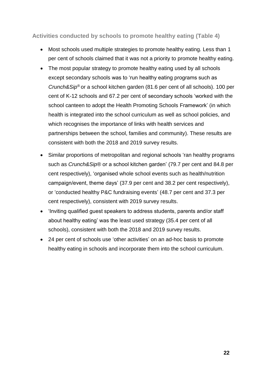**Activities conducted by schools to promote healthy eating (Table 4)**

- Most schools used multiple strategies to promote healthy eating. Less than 1 per cent of schools claimed that it was not a priority to promote healthy eating.
- The most popular strategy to promote healthy eating used by all schools except secondary schools was to 'run healthy eating programs such as *Crunch&Sip®* or a school kitchen garden (81.6 per cent of all schools). 100 per cent of K-12 schools and 67.2 per cent of secondary schools 'worked with the school canteen to adopt the Health Promoting Schools Framework' (in which health is integrated into the school curriculum as well as school policies, and which recognises the importance of links with health services and partnerships between the school, families and community). These results are consistent with both the 2018 and 2019 survey results.
- Similar proportions of metropolitan and regional schools 'ran healthy programs such as *Crunch&Sip*® or a school kitchen garden' (79.7 per cent and 84.8 per cent respectively), 'organised whole school events such as health/nutrition campaign/event, theme days' (37.9 per cent and 38.2 per cent respectively), or 'conducted healthy P&C fundraising events' (48.7 per cent and 37.3 per cent respectively), consistent with 2019 survey results.
- 'Inviting qualified guest speakers to address students, parents and/or staff about healthy eating' was the least used strategy (35.4 per cent of all schools), consistent with both the 2018 and 2019 survey results.
- 24 per cent of schools use 'other activities' on an ad-hoc basis to promote healthy eating in schools and incorporate them into the school curriculum.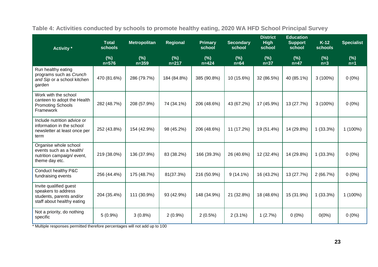| Activity *                                                                                              | <b>Total</b><br><b>schools</b> | <b>Metropolitan</b> | Regional          | <b>Primary</b><br>school | <b>Secondary</b><br>school | <b>District</b><br><b>High</b><br>school | <b>Education</b><br><b>Support</b><br>school | $K-12$<br>schools | <b>Specialist</b> |
|---------------------------------------------------------------------------------------------------------|--------------------------------|---------------------|-------------------|--------------------------|----------------------------|------------------------------------------|----------------------------------------------|-------------------|-------------------|
|                                                                                                         | (% )<br>$n = 576$              | (%)<br>$n = 359$    | (% )<br>$n = 217$ | (%)<br>$n = 424$         | (% )<br>$n=64$             | (% )<br>$n=37$                           | (% )<br>$n=47$                               | (%)<br>$n=3$      | (%)<br>$n=1$      |
| Run healthy eating<br>programs such as Crunch<br>and Sip or a school kitchen<br>garden                  | 470 (81.6%)                    | 286 (79.7%)         | 184 (84.8%)       | 385 (90.8%)              | 10 (15.6%)                 | 32 (86.5%)                               | 40 (85.1%)                                   | $3(100\%)$        | $0(0\%)$          |
| Work with the school<br>canteen to adopt the Health<br><b>Promoting Schools</b><br>Framework            | 282 (48.7%)                    | 208 (57.9%)         | 74 (34.1%)        | 206 (48.6%)              | 43 (67.2%)                 | 17 (45.9%)                               | 13 (27.7%)                                   | $3(100\%)$        | $0(0\%)$          |
| Include nutrition advice or<br>information in the school<br>newsletter at least once per<br>term        | 252 (43.8%)                    | 154 (42.9%)         | 98 (45.2%)        | 206 (48.6%)              | 11 (17.2%)                 | 19 (51.4%)                               | 14 (29.8%)                                   | $1(33.3\%)$       | 1 (100%)          |
| Organise whole school<br>events such as a health/<br>nutrition campaign/ event,<br>theme day etc.       | 219 (38.0%)                    | 136 (37.9%)         | 83 (38.2%)        | 166 (39.3%)              | 26 (40.6%)                 | 12 (32.4%)                               | 14 (29.8%)                                   | $1(33.3\%)$       | $0(0\%)$          |
| Conduct healthy P&C<br>fundraising events                                                               | 256 (44.4%)                    | 175 (48.7%)         | 81(37.3%)         | 216 (50.9%)              | $9(14.1\%)$                | 16 (43.2%)                               | 13 (27.7%)                                   | 2(66.7%)          | $0(0\%)$          |
| Invite qualified guest<br>speakers to address<br>students, parents and/or<br>staff about healthy eating | 204 (35.4%)                    | 111 (30.9%)         | 93 (42.9%)        | 148 (34.9%)              | 21 (32.8%)                 | 18 (48.6%)                               | 15 (31.9%)                                   | $1(33.3\%)$       | $1(100\%)$        |
| Not a priority, do nothing<br>specific                                                                  | $5(0.9\%)$                     | $3(0.8\%)$          | $2(0.9\%)$        | $2(0.5\%)$               | $2(3.1\%)$                 | 1(2.7%)                                  | $0(0\%)$                                     | $0(0\%)$          | $0(0\%)$          |

**Table 4: Activities conducted by schools to promote healthy eating, 2020 WA HFD School Principal Survey** 

\* Multiple responses permitted therefore percentages will not add up to 100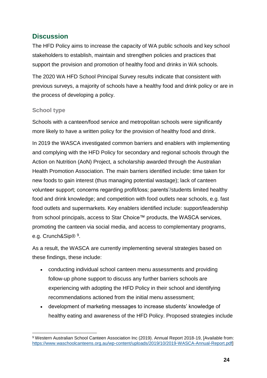# **Discussion**

The HFD Policy aims to increase the capacity of WA public schools and key school stakeholders to establish, maintain and strengthen policies and practices that support the provision and promotion of healthy food and drinks in WA schools.

The 2020 WA HFD School Principal Survey results indicate that consistent with previous surveys, a majority of schools have a healthy food and drink policy or are in the process of developing a policy.

#### **School type**

Schools with a canteen/food service and metropolitan schools were significantly more likely to have a written policy for the provision of healthy food and drink.

In 2019 the WASCA investigated common barriers and enablers with implementing and complying with the HFD Policy for secondary and regional schools through the Action on Nutrition (AoN) Project, a scholarship awarded through the Australian Health Promotion Association. The main barriers identified include: time taken for new foods to gain interest (thus managing potential wastage); lack of canteen volunteer support; concerns regarding profit/loss; parents'/students limited healthy food and drink knowledge; and competition with food outlets near schools, e.g. fast food outlets and supermarkets. Key enablers identified include: support/leadership from school principals, access to Star Choice™ products, the WASCA services, promoting the canteen via social media, and access to complementary programs, e.g. Crunch&Sip® <sup>9</sup>.

As a result, the WASCA are currently implementing several strategies based on these findings, these include:

- conducting individual school canteen menu assessments and providing follow-up phone support to discuss any further barriers schools are experiencing with adopting the HFD Policy in their school and identifying recommendations actioned from the initial menu assessment;
- development of marketing messages to increase students' knowledge of healthy eating and awareness of the HFD Policy. Proposed strategies include

<sup>1</sup> 9 Western Australian School Canteen Association Inc (2019). Annual Report 2018-19, [Available from: [https://www.waschoolcanteens.org.au/wp-content/uploads/2019/10/2019-WASCA-Annual-Report.pdf\]](https://www.waschoolcanteens.org.au/wp-content/uploads/2019/10/2019-WASCA-Annual-Report.pdf)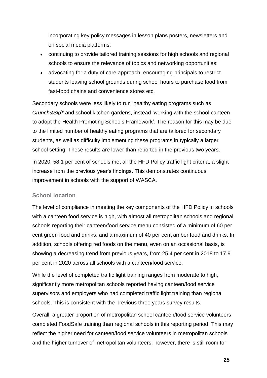incorporating key policy messages in lesson plans posters, newsletters and on social media platforms;

- continuing to provide tailored training sessions for high schools and regional schools to ensure the relevance of topics and networking opportunities;
- advocating for a duty of care approach, encouraging principals to restrict students leaving school grounds during school hours to purchase food from fast-food chains and convenience stores etc.

Secondary schools were less likely to run 'healthy eating programs such as *Crunch&Sip®* and school kitchen gardens, instead 'working with the school canteen to adopt the Health Promoting Schools Framework'. The reason for this may be due to the limited number of healthy eating programs that are tailored for secondary students, as well as difficulty implementing these programs in typically a larger school setting. These results are lower than reported in the previous two years.

In 2020, 58.1 per cent of schools met all the HFD Policy traffic light criteria, a slight increase from the previous year's findings. This demonstrates continuous improvement in schools with the support of WASCA.

#### **School location**

The level of compliance in meeting the key components of the HFD Policy in schools with a canteen food service is high, with almost all metropolitan schools and regional schools reporting their canteen/food service menu consisted of a minimum of 60 per cent green food and drinks, and a maximum of 40 per cent amber food and drinks. In addition, schools offering red foods on the menu, even on an occasional basis, is showing a decreasing trend from previous years, from 25.4 per cent in 2018 to 17.9 per cent in 2020 across all schools with a canteen/food service.

While the level of completed traffic light training ranges from moderate to high, significantly more metropolitan schools reported having canteen/food service supervisors and employers who had completed traffic light training than regional schools. This is consistent with the previous three years survey results.

Overall, a greater proportion of metropolitan school canteen/food service volunteers completed FoodSafe training than regional schools in this reporting period. This may reflect the higher need for canteen/food service volunteers in metropolitan schools and the higher turnover of metropolitan volunteers; however, there is still room for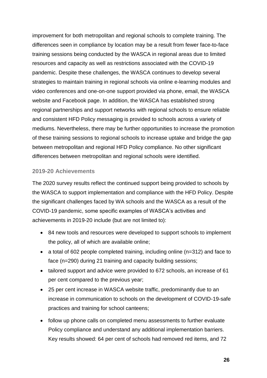improvement for both metropolitan and regional schools to complete training. The differences seen in compliance by location may be a result from fewer face-to-face training sessions being conducted by the WASCA in regional areas due to limited resources and capacity as well as restrictions associated with the COVID-19 pandemic. Despite these challenges, the WASCA continues to develop several strategies to maintain training in regional schools via online e-learning modules and video conferences and one-on-one support provided via phone, email, the WASCA website and Facebook page. In addition, the WASCA has established strong regional partnerships and support networks with regional schools to ensure reliable and consistent HFD Policy messaging is provided to schools across a variety of mediums. Nevertheless, there may be further opportunities to increase the promotion of these training sessions to regional schools to increase uptake and bridge the gap between metropolitan and regional HFD Policy compliance. No other significant differences between metropolitan and regional schools were identified.

#### **2019-20 Achievements**

The 2020 survey results reflect the continued support being provided to schools by the WASCA to support implementation and compliance with the HFD Policy. Despite the significant challenges faced by WA schools and the WASCA as a result of the COVID-19 pandemic, some specific examples of WASCA's activities and achievements in 2019-20 include (but are not limited to):

- 84 new tools and resources were developed to support schools to implement the policy, all of which are available online;
- a total of 602 people completed training, including online (n=312) and face to face (n=290) during 21 training and capacity building sessions;
- tailored support and advice were provided to 672 schools, an increase of 61 per cent compared to the previous year;
- 25 per cent increase in WASCA website traffic, predominantly due to an increase in communication to schools on the development of COVID-19-safe practices and training for school canteens;
- follow up phone calls on completed menu assessments to further evaluate Policy compliance and understand any additional implementation barriers. Key results showed: 64 per cent of schools had removed red items, and 72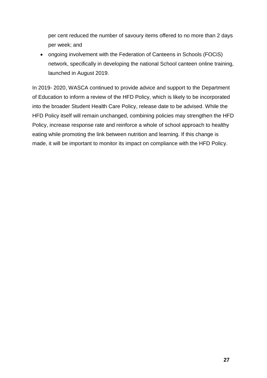per cent reduced the number of savoury items offered to no more than 2 days per week; and

• ongoing involvement with the Federation of Canteens in Schools (FOCiS) network, specifically in developing the national School canteen online training, launched in August 2019.

In 2019- 2020, WASCA continued to provide advice and support to the Department of Education to inform a review of the HFD Policy, which is likely to be incorporated into the broader Student Health Care Policy, release date to be advised. While the HFD Policy itself will remain unchanged, combining policies may strengthen the HFD Policy, increase response rate and reinforce a whole of school approach to healthy eating while promoting the link between nutrition and learning. If this change is made, it will be important to monitor its impact on compliance with the HFD Policy.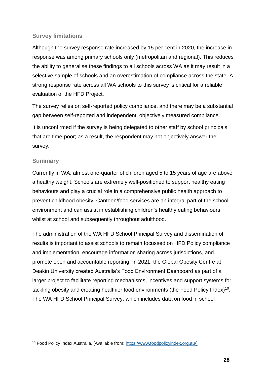#### **Survey limitations**

Although the survey response rate increased by 15 per cent in 2020, the increase in response was among primary schools only (metropolitan and regional). This reduces the ability to generalise these findings to all schools across WA as it may result in a selective sample of schools and an overestimation of compliance across the state. A strong response rate across all WA schools to this survey is critical for a reliable evaluation of the HFD Project.

The survey relies on self-reported policy compliance, and there may be a substantial gap between self-reported and independent, objectively measured compliance.

It is unconfirmed if the survey is being delegated to other staff by school principals that are time-poor; as a result, the respondent may not objectively answer the survey.

#### **Summary**

Currently in WA, almost one-quarter of children aged 5 to 15 years of age are above a healthy weight. Schools are extremely well-positioned to support healthy eating behaviours and play a crucial role in a comprehensive public health approach to prevent childhood obesity. Canteen/food services are an integral part of the school environment and can assist in establishing children's healthy eating behaviours whilst at school and subsequently throughout adulthood.

The administration of the WA HFD School Principal Survey and dissemination of results is important to assist schools to remain focussed on HFD Policy compliance and implementation, encourage information sharing across jurisdictions, and promote open and accountable reporting. In 2021, the Global Obesity Centre at Deakin University created Australia's Food Environment Dashboard as part of a larger project to facilitate reporting mechanisms, incentives and support systems for tackling obesity and creating healthier food environments (the Food Policy Index)<sup>10</sup>. The WA HFD School Principal Survey, which includes data on food in school

<sup>1</sup> <sup>10</sup> Food Policy Index Australia, [Available from: [https://www.foodpolicyindex.org.au/\]](https://www.foodpolicyindex.org.au/)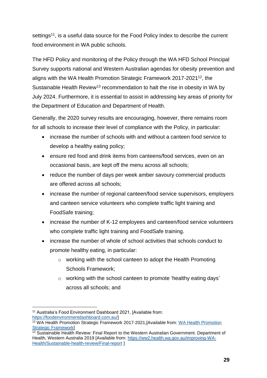settings<sup>11</sup>, is a useful data source for the Food Policy Index to describe the current food environment in WA public schools.

The HFD Policy and monitoring of the Policy through the WA HFD School Principal Survey supports national and Western Australian agendas for obesity prevention and aligns with the WA Health Promotion Strategic Framework 2017-2021<sup>12</sup>, the Sustainable Health Review<sup>13</sup> recommendation to halt the rise in obesity in WA by July 2024. Furthermore, it is essential to assist in addressing key areas of priority for the Department of Education and Department of Health.

Generally, the 2020 survey results are encouraging, however, there remains room for all schools to increase their level of compliance with the Policy, in particular:

- increase the number of schools with and without a canteen food service to develop a healthy eating policy;
- ensure red food and drink items from canteens/food services, even on an occasional basis, are kept off the menu across all schools;
- reduce the number of days per week amber savoury commercial products are offered across all schools;
- increase the number of regional canteen/food service supervisors, employers and canteen service volunteers who complete traffic light training and FoodSafe training;
- increase the number of K-12 employees and canteen/food service volunteers who complete traffic light training and FoodSafe training.
- increase the number of whole of school activities that schools conduct to promote healthy eating, in particular:
	- o working with the school canteen to adopt the Health Promoting Schools Framework;
	- o working with the school canteen to promote 'healthy eating days' across all schools; and

<sup>1</sup> <sup>11</sup> Australia's Food Environment Dashboard 2021, [Available from: [https://foodenvironmentdashboard.com.au/\]](https://foodenvironmentdashboard.com.au/)

<sup>12</sup> WA Health Promotion Strategic Framework 2017-2021,[Available from: [WA Health Promotion](https://ww2.health.wa.gov.au/Reports-and-publications/WA-Health-Promotion-Strategic-Framework)  [Strategic Framework\]](https://ww2.health.wa.gov.au/Reports-and-publications/WA-Health-Promotion-Strategic-Framework)

<sup>&</sup>lt;sup>13</sup> Sustainable Health Review: Final Report to the Western Australian Government. Department of Health, Western Australia 2019 [Available from: [https://ww2.health.wa.gov.au/improving-WA-](https://ww2.health.wa.gov.au/improving-WA-Health/Sustainable-health-review/Final-report)[Health/Sustainable-health-review/Final-report](https://ww2.health.wa.gov.au/improving-WA-Health/Sustainable-health-review/Final-report) ]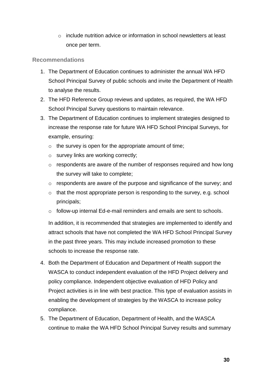$\circ$  include nutrition advice or information in school newsletters at least once per term.

#### **Recommendations**

- 1. The Department of Education continues to administer the annual WA HFD School Principal Survey of public schools and invite the Department of Health to analyse the results.
- 2. The HFD Reference Group reviews and updates, as required, the WA HFD School Principal Survey questions to maintain relevance.
- 3. The Department of Education continues to implement strategies designed to increase the response rate for future WA HFD School Principal Surveys, for example, ensuring:
	- $\circ$  the survey is open for the appropriate amount of time;
	- o survey links are working correctly;
	- o respondents are aware of the number of responses required and how long the survey will take to complete;
	- o respondents are aware of the purpose and significance of the survey; and
	- $\circ$  that the most appropriate person is responding to the survey, e.g. school principals;
	- o follow-up internal Ed-e-mail reminders and emails are sent to schools.

In addition, it is recommended that strategies are implemented to identify and attract schools that have not completed the WA HFD School Principal Survey in the past three years. This may include increased promotion to these schools to increase the response rate.

- 4. Both the Department of Education and Department of Health support the WASCA to conduct independent evaluation of the HFD Project delivery and policy compliance. Independent objective evaluation of HFD Policy and Project activities is in line with best practice. This type of evaluation assists in enabling the development of strategies by the WASCA to increase policy compliance.
- 5. The Department of Education, Department of Health, and the WASCA continue to make the WA HFD School Principal Survey results and summary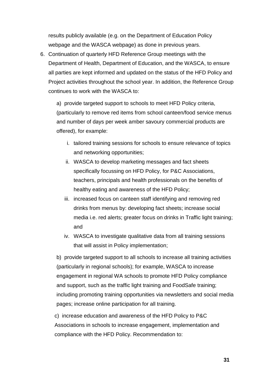results publicly available (e.g. on the Department of Education Policy webpage and the WASCA webpage) as done in previous years.

6. Continuation of quarterly HFD Reference Group meetings with the Department of Health, Department of Education, and the WASCA, to ensure all parties are kept informed and updated on the status of the HFD Policy and Project activities throughout the school year. In addition, the Reference Group continues to work with the WASCA to:

a) provide targeted support to schools to meet HFD Policy criteria, (particularly to remove red items from school canteen/food service menus and number of days per week amber savoury commercial products are offered), for example:

- i. tailored training sessions for schools to ensure relevance of topics and networking opportunities;
- ii. WASCA to develop marketing messages and fact sheets specifically focussing on HFD Policy, for P&C Associations, teachers, principals and health professionals on the benefits of healthy eating and awareness of the HFD Policy;
- iii. increased focus on canteen staff identifying and removing red drinks from menus by: developing fact sheets; increase social media i.e. red alerts; greater focus on drinks in Traffic light training; and
- iv. WASCA to investigate qualitative data from all training sessions that will assist in Policy implementation;

b) provide targeted support to all schools to increase all training activities (particularly in regional schools); for example, WASCA to increase engagement in regional WA schools to promote HFD Policy compliance and support, such as the traffic light training and FoodSafe training; including promoting training opportunities via newsletters and social media pages; increase online participation for all training.

c) increase education and awareness of the HFD Policy to P&C Associations in schools to increase engagement, implementation and compliance with the HFD Policy. Recommendation to: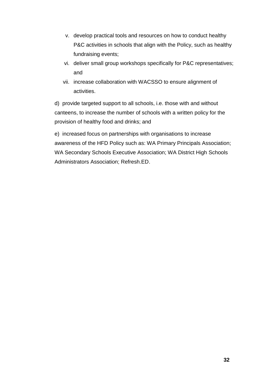- v. develop practical tools and resources on how to conduct healthy P&C activities in schools that align with the Policy, such as healthy fundraising events;
- vi. deliver small group workshops specifically for P&C representatives; and
- vii. increase collaboration with WACSSO to ensure alignment of activities.

d) provide targeted support to all schools, i.e. those with and without canteens, to increase the number of schools with a written policy for the provision of healthy food and drinks; and

e) increased focus on partnerships with organisations to increase awareness of the HFD Policy such as: WA Primary Principals Association; WA Secondary Schools Executive Association; WA District High Schools Administrators Association; Refresh.ED.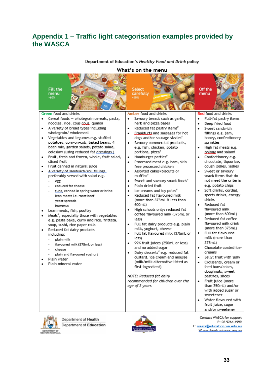# **Appendix 1 – Traffic light categorisation examples provided by the WASCA**

#### What's on the menu **Fill the** Off the Select carefully menu menu **SADRO** Green food and drinks Amber food and drinks Red food and drinks Cereal foods - wholegrain cereals, pasta, Savoury breads such as gartic, Full-fat pastry items ٠ noodles, rice, cous cous, quinoa herb and pizza bases Deep fried food A variety of bread types including Reduced fat pastry items<sup>®</sup> Sweet sandwich ٠ wholegrain/ wholemeal Erankfurts and sausages for hot fillings e.g. jam, Vegetables and legumes e.g. stuffed dogs and/or sausage sizzles<sup>\*</sup> honey, confectionery  $\bullet$ potatoes, corn-on-cob, baked beans, 4 Savoury commercial products, sprinkles bean mix, garden salads, potato salad, e.g. fish, chicken, potato High fat meats e.g. coleslaw (using reduced fat dressings.) portions, pizza\* polony and salami Confectionery e.g. Fruit, fresh and frozen, whole, fruit salad, Hamburger patties<sup>®</sup>  $\overline{\phantom{a}}$ sliced fruit chocolate, liquorice, Processed meat e.g. ham, skin-Fruit canned in natural juice free processed chicken cough lollies, jellies A variety of sandwich/roll fillings, Assorted cakes/biscuits or Sweet or savoury snack items that do preferably served with salad e.g. muffins<sup>3</sup> Sweet and savoury snack foods<sup>\*</sup> not meet the criteria egg Plain dried fruit e.g. potato chips reduced fat cheese Ice creams and icy poles<sup>e</sup> Soft drinks, cordial, tuna, canned in spring water or brine Reduced fat flavoured milk sports drinks, energy lean meats i.e. roast beef (more than 375mL & less than drinks veast spreads Reduced fat 600mL) hummus flavoured milk High schools only: reduced fat Lean meats, fish, poultry coffee flavoured milk (375mL or (more than 600mL) Meals<sup>®</sup>, especially those with vegetables Reduced fat coffee less) e.g. pasta bake, curry and rice, frittata, flavoured milk drink Full fat dairy products e.g. plain soup, sushi, rice paper rolls (more than 375mL) milk, yoghurt, cheese Reduced fat dairy products Full fat flavoured Full fat flavoured milk (375mL or including: milk (more than less) plain milk 375mL) 99% fruit juices (250mL or less) flavoured milk (375mL or less) Chocolate coated iceand no added sugar cheese Dairy desserts<sup>#</sup> e.g. reduced fat creams plain and flavoured yoghurt custard, ice cream and mousse Jelly; fruit with jelly Plain water (milk/milk alternative listed as Croissants, cream or Plain mineral water  $\bullet$ first ingredient) iced buns/cakes, doughnuts, sweet NOTE: Reduced fat dairy pastries, slices recommended for children over the Fruit juice (more age of 2 years than 250mL) and/or with added sugar or sweetener Water flavoured with fruit juice, sugar and/or sweetener



Department of Health Department of Education



Contact WASCA for support P: 08 9264 4999 E: wasca@education.wa.edu.au W:waschoolcanteens.org.au